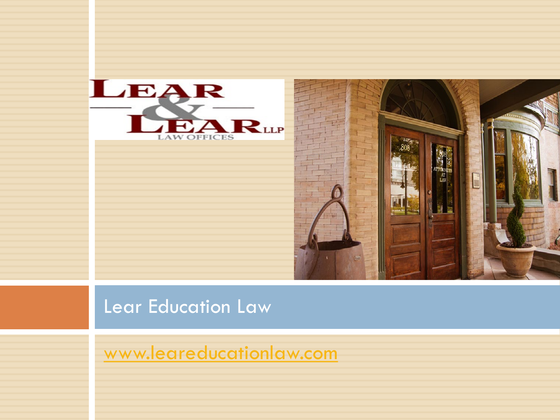



#### Lear Education Law

[www.leareducationlaw.com](http://www.leareducationlaw.com/)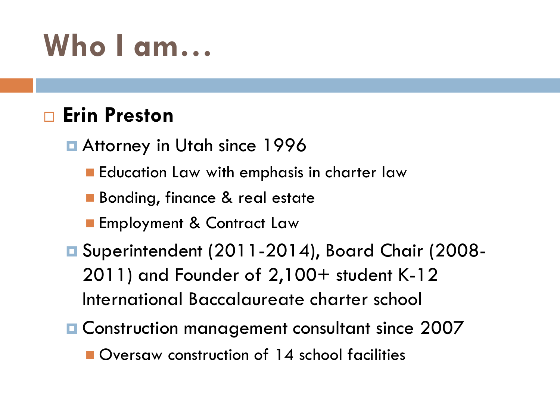### **Who I am…**

#### **Erin Preston**

Attorney in Utah since 1996

**Education Law with emphasis in charter law** 

- **Bonding, finance & real estate**
- **Employment & Contract Law**
- Superintendent (2011-2014), Board Chair (2008-2011) and Founder of 2,100+ student K-12 International Baccalaureate charter school
- Construction management consultant since 2007 **Oversaw construction of 14 school facilities**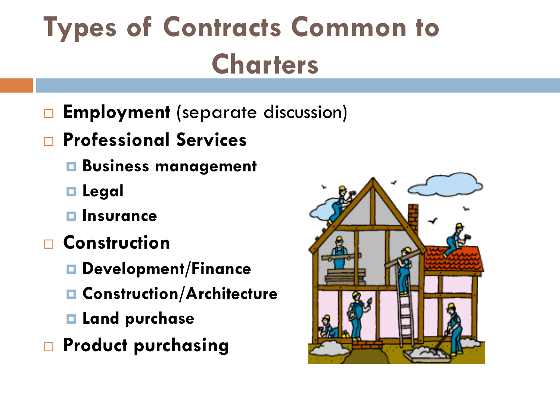# **Types of Contracts Common to Charters**

- **Employment** (separate discussion)
- **Professional Services**
	- **Business management**
	- **Legal**
	- **Insurance**
- **Construction**
	- **Development/Finance**
	- **Construction/Architecture**
	- **Land purchase**
- **Product purchasing**

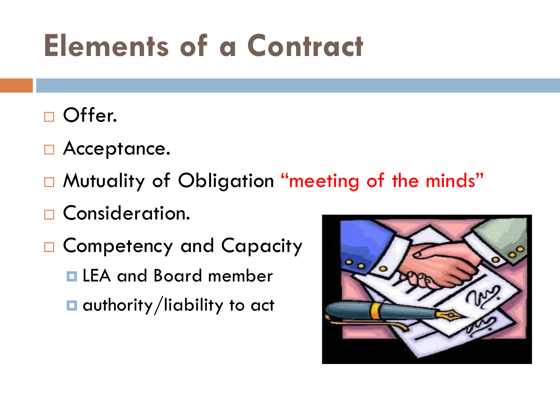# **Elements of a Contract**

- □ Offer.
- □ Acceptance.
- □ Mutuality of Obligation "meeting of the minds"
- □ Consideration.
- □ Competency and Capacity
	- **ELEA and Board member**
	- $\Box$  authority/liability to act

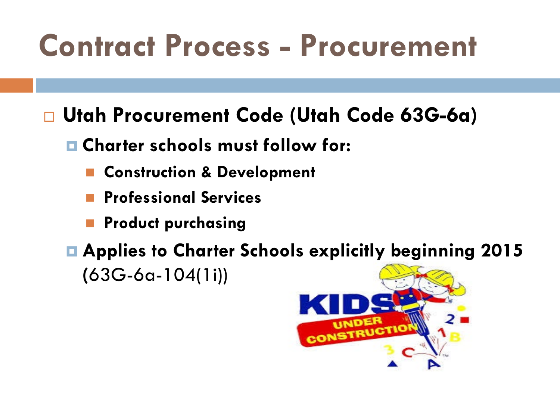### **Contract Process - Procurement**

**Utah Procurement Code (Utah Code 63G-6a)**

- **Charter schools must follow for:**
	- **Construction & Development**
	- **Professional Services**
	- **Product purchasing**

 **Applies to Charter Schools explicitly beginning 2015 (**63G-6a-104(1i))

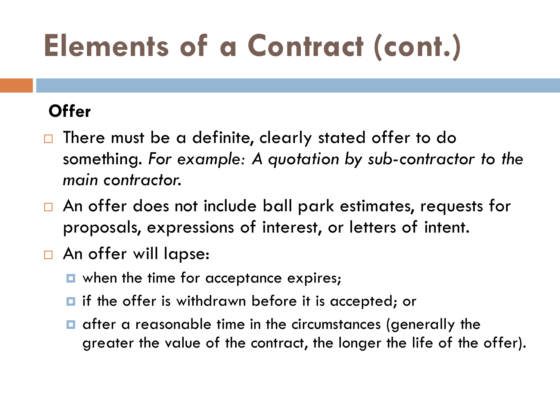# **Elements of a Contract (cont.)**

#### **Offer**

- $\Box$  There must be a definite, clearly stated offer to do something. *For example: A quotation by sub-contractor to the main contractor.*
- □ An offer does not include ball park estimates, requests for proposals, expressions of interest, or letters of intent.
- An offer will lapse:
	- **D** when the time for acceptance expires;
	- $\blacksquare$  if the offer is withdrawn before it is accepted; or
	- $\blacksquare$  after a reasonable time in the circumstances (generally the greater the value of the contract, the longer the life of the offer).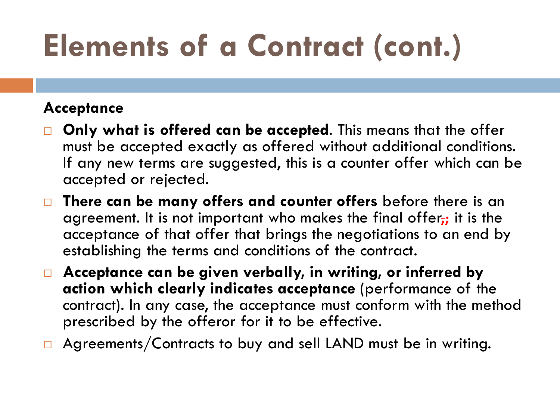# **Elements of a Contract (cont.)**

#### **Acceptance**

- **Only what is offered can be accepted**. This means that the offer must be accepted exactly as offered without additional conditions. If any new terms are suggested, this is a counter offer which can be accepted or rejected.
- **There can be many offers and counter offers** before there is an agreement. It is not important who makes the final offer<sub>i</sub>; it is the acceptance of that offer that brings the negotiations to an end by establishing the terms and conditions of the contract.
- **Acceptance can be given verbally, in writing, or inferred by action which clearly indicates acceptance** (performance of the contract). In any case, the acceptance must conform with the method prescribed by the offeror for it to be effective.
- $\Box$  Agreements/Contracts to buy and sell LAND must be in writing.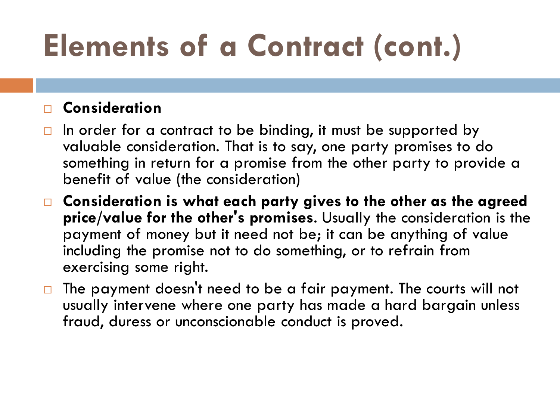# **Elements of a Contract (cont.)**

#### **Consideration**

- $\Box$  In order for a contract to be binding, it must be supported by valuable consideration. That is to say, one party promises to do something in return for a promise from the other party to provide a benefit of value (the consideration)
- **Consideration is what each party gives to the other as the agreed price/value for the other's promises**. Usually the consideration is the payment of money but it need not be; it can be anything of value including the promise not to do something, or to refrain from exercising some right.
- $\Box$  The payment doesn't need to be a fair payment. The courts will not usually intervene where one party has made a hard bargain unless fraud, duress or unconscionable conduct is proved.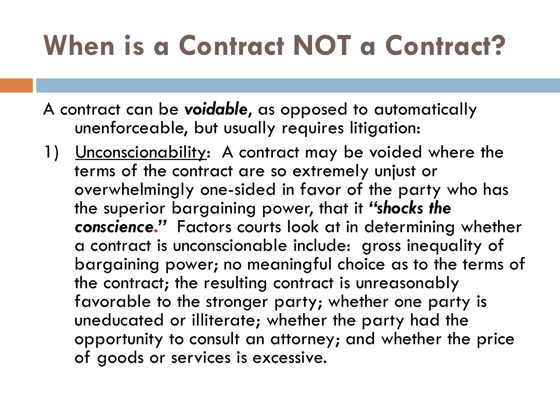### **When is a Contract NOT a Contract?**

- A contract can be *voidable*, as opposed to automatically unenforceable, but usually requires litigation:
- 1) <u>Unconscionability</u>: A contract may be voided where the terms of the contract are so extremely unjust or overwhelmingly one-sided in favor of the party who has the superior bargaining power, that it *"shocks the conscience."* Factors courts look at in determining whether a contract is unconscionable include: gross inequality of bargaining power; no meaningful choice as to the terms of the contract; the resulting contract is unreasonably favorable to the stronger party; whether one party is uneducated or illiterate; whether the party had the opportunity to consult an attorney; and whether the price of goods or services is excessive.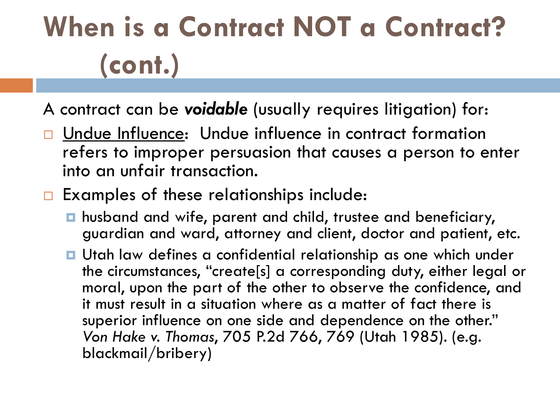# **When is a Contract NOT a Contract? (cont.)**

A contract can be *voidable* (usually requires litigation) for:

- Undue Influence: Undue influence in contract formation refers to improper persuasion that causes a person to enter into an unfair transaction.
- $\Box$  Examples of these relationships include:
	- husband and wife, parent and child, trustee and beneficiary, guardian and ward, attorney and client, doctor and patient, etc.
	- Utah law defines a confidential relationship as one which under the circumstances, "create[s] a corresponding duty, either legal or moral, upon the part of the other to observe the confidence, and it must result in a situation where as a matter of fact there is superior influence on one side and dependence on the other." *Von Hake v. Thomas*, 705 P.2d 766, 769 (Utah 1985). (e.g. blackmail/bribery)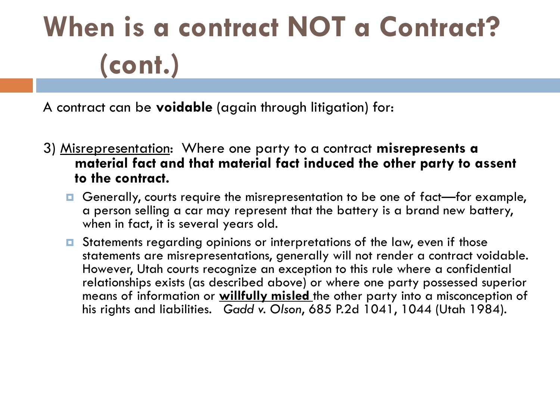# **When is a contract NOT a Contract? (cont.)**

A contract can be **voidable** (again through litigation) for:

- 3) Misrepresentation: Where one party to a contract **misrepresents a material fact and that material fact induced the other party to assent to the contract.** 
	- Generally, courts require the misrepresentation to be one of fact—for example, a person selling a car may represent that the battery is a brand new battery, when in fact, it is several years old.
	- **□** Statements regarding opinions or interpretations of the law, even if those statements are misrepresentations, generally will not render a contract voidable. However, Utah courts recognize an exception to this rule where a confidential relationships exists (as described above) or where one party possessed superior means of information or **willfully misled** the other party into a misconception of his rights and liabilities. *Gadd v. Olson*, 685 P.2d 1041, 1044 (Utah 1984).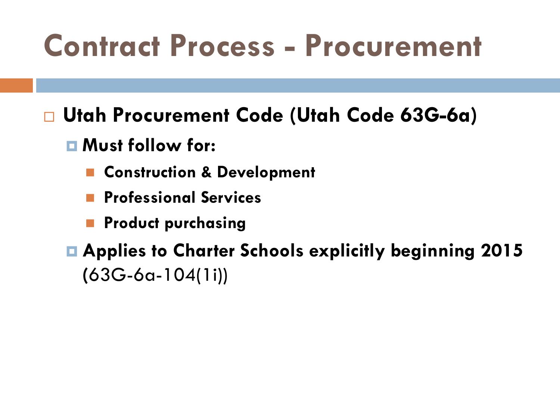### **Contract Process - Procurement**

- **Utah Procurement Code (Utah Code 63G-6a)**
	- **Must follow for:**
		- **E** Construction & Development
		- **Professional Services**
		- **Product purchasing**
	- **Applies to Charter Schools explicitly beginning 2015 (**63G-6a-104(1i))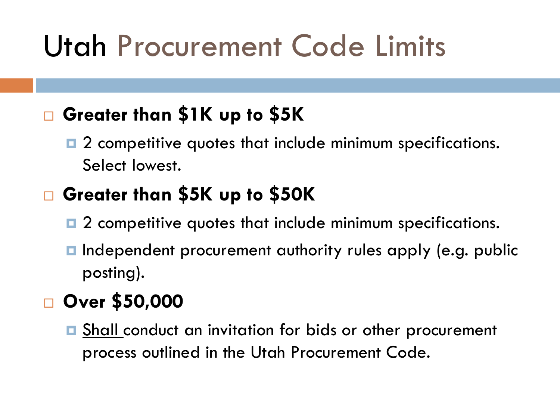### Utah Procurement Code Limits

#### **Greater than \$1K up to \$5K**

**□** 2 competitive quotes that include minimum specifications. Select lowest.

#### **Greater than \$5K up to \$50K**

- **□** 2 competitive quotes that include minimum specifications.
- **Independent procurement authority rules apply (e.g. public** posting).

#### **Over \$50,000**

**□ Shall conduct an invitation for bids or other procurement** process outlined in the Utah Procurement Code.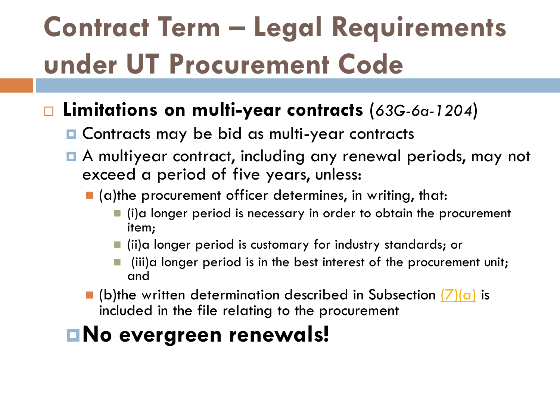# **Contract Term – Legal Requirements under UT Procurement Code**

#### **Limitations on multi-year contracts** (*63G-6a-1204*)

- **Q** Contracts may be bid as multi-year contracts
- A multiyear contract, including any renewal periods, may not exceed a period of five years, unless:
	- $\blacksquare$  (a)the procurement officer determines, in writing, that:
		- (i)a longer period is necessary in order to obtain the procurement item;
		- (ii)a longer period is customary for industry standards; or
		- (iii)a longer period is in the best interest of the procurement unit; and
	- $\blacksquare$  (b)the written determination described in Subsection  $(7)(a)$  is included in the file relating to the procurement

#### **No evergreen renewals!**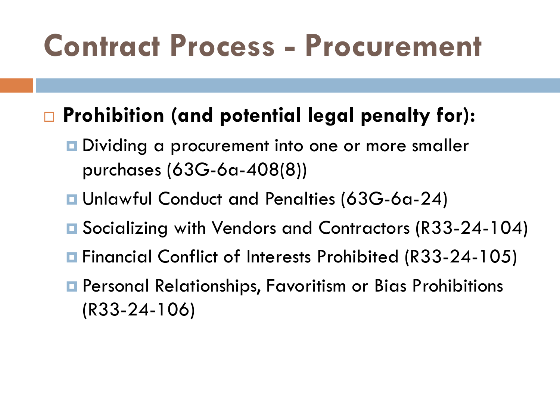### **Contract Process - Procurement**

#### **Prohibition (and potential legal penalty for):**

- **□** Dividing a procurement into one or more smaller purchases (63G-6a-408(8))
- Unlawful Conduct and Penalties (63G-6a-24)
- Socializing with Vendors and Contractors (R33-24-104)
- Financial Conflict of Interests Prohibited (R33-24-105)
- **E** Personal Relationships, Favoritism or Bias Prohibitions (R33-24-106)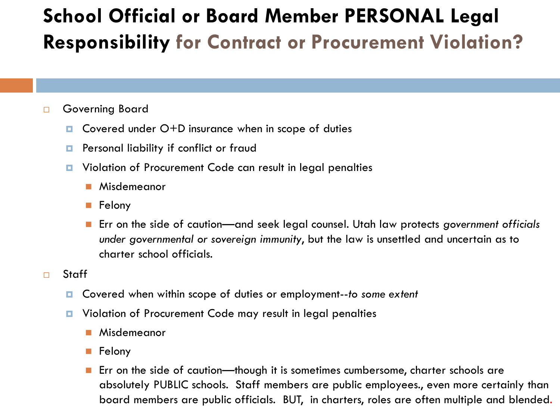#### **School Official or Board Member PERSONAL Legal Responsibility for Contract or Procurement Violation?**

#### □ Governing Board

- Covered under O+D insurance when in scope of duties
- **Personal liability if conflict or fraud**
- D Violation of Procurement Code can result in legal penalties
	- **Misdemeanor**
	- **Felony**
	- Err on the side of caution—and seek legal counsel. Utah law protects government officials *under governmental or sovereign immunity*, but the law is unsettled and uncertain as to charter school officials.

#### □ Staff

- Covered when within scope of duties or employment--*to some extent*
- **D** Violation of Procurement Code may result in legal penalties
	- **Misdemeanor**
	- **Felony**
	- **Example 1** Err on the side of caution—though it is sometimes cumbersome, charter schools are absolutely PUBLIC schools. Staff members are public employees., even more certainly than board members are public officials. BUT, in charters, roles are often multiple and blended.